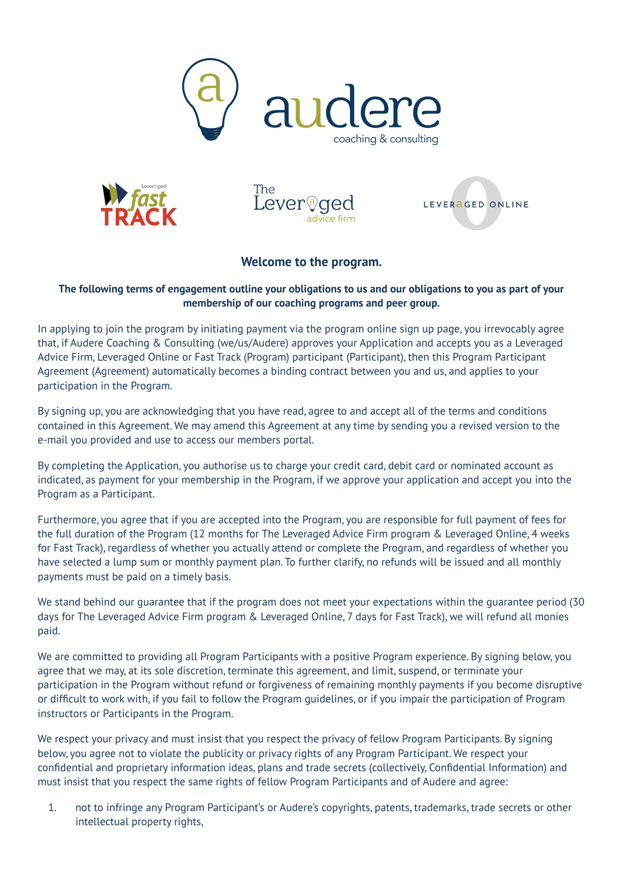



The Leverog



## **Welcome to the program.**

## The following terms of engagement outline your obligations to us and our obligations to you as part of your **membership of our coaching programs and peer group.**

In applying to join the program by initiating payment via the program online sign up page, you irrevocably agree that, if Audere Coaching & Consulting (we/us/Audere) approves your Application and accepts you as a Leveraged Advice Firm, Leveraged Online or Fast Track (Program) participant (Participant), then this Program Participant Agreement (Agreement) automatically becomes a binding contract between you and us, and applies to your participation in the Program.

By signing up, you are acknowledging that you have read, agree to and accept all of the terms and conditions contained in this Agreement. We may amend this Agreement at any time by sending you a revised version to the e-mail you provided and use to access our members portal.

By completing the Application, you authorise us to charge your credit card, debit card or nominated account as indicated, as payment for your membership in the Program, if we approve your application and accept you into the Program as a Participant.

Furthermore, you agree that if you are accepted into the Program, you are responsible for full payment of fees for the full duration of the Program (12 months for The Leveraged Advice Firm program & Leveraged Online, 4 weeks for Fast Track), regardless of whether you actually attend or complete the Program, and regardless of whether you have selected a lump sum or monthly payment plan. To further clarify, no refunds will be issued and all monthly payments must be paid on a timely basis.

We stand behind our guarantee that if the program does not meet your expectations within the guarantee period (30 days for The Leveraged Advice Firm program & Leveraged Online, 7 days for Fast Track), we will refund all monies paid.

We are committed to providing all Program Participants with a positive Program experience. By signing below, you agree that we may, at its sole discretion, terminate this agreement, and limit, suspend, or terminate your participation in the Program without refund or forgiveness of remaining monthly payments if you become disruptive or difficult to work with, if you fail to follow the Program guidelines, or if you impair the participation of Program instructors or Participants in the Program.

We respect your privacy and must insist that you respect the privacy of fellow Program Participants. By signing below, you agree not to violate the publicity or privacy rights of any Program Participant. We respect your confidential and proprietary information ideas, plans and trade secrets (collectively, Confidential Information) and must insist that you respect the same rights of fellow Program Participants and of Audere and agree:

1. not to infringe any Program Participant's or Audere's copyrights, patents, trademarks, trade secrets or other intellectual property rights,